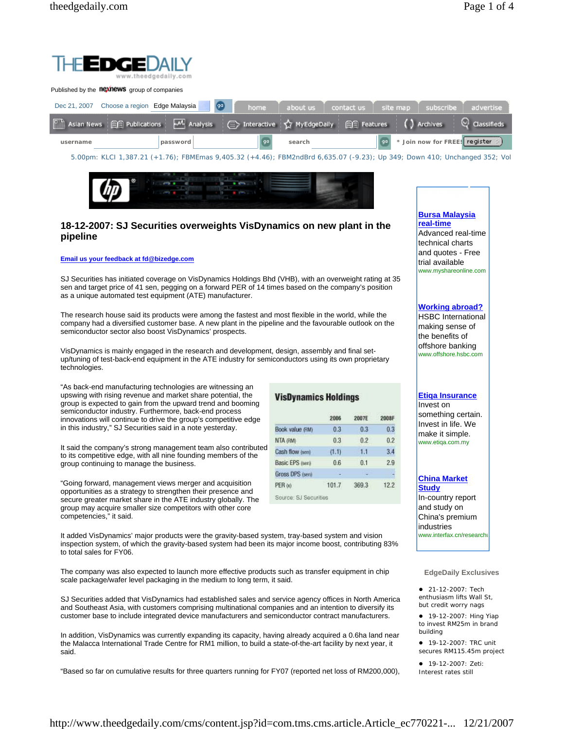

**VisDynamics Holdings** 

Book value (RM)

Cash flow (sen)

**Basic EPS (sen)** 

Gross DPS (sen)

Source: SJ Securities

NTA (RM)

PER to

2006

 $0.3$ 

 $0.3$ 

 $(1.1)$ 

 $0.6$ 

101.7

2007E

 $0.3$ 

 $0.2$ 

 $1.1$ 

 $0.1$ 

369.3



# **18-12-2007: SJ Securities overweights VisDynamics on new plant in the pipeline**

#### **Email us your feedback at fd@bizedge.com**

SJ Securities has initiated coverage on VisDynamics Holdings Bhd (VHB), with an overweight rating at 35 sen and target price of 41 sen, pegging on a forward PER of 14 times based on the company's position as a unique automated test equipment (ATE) manufacturer.

The research house said its products were among the fastest and most flexible in the world, while the company had a diversified customer base. A new plant in the pipeline and the favourable outlook on the semiconductor sector also boost VisDynamics' prospects.

VisDynamics is mainly engaged in the research and development, design, assembly and final setup/tuning of test-back-end equipment in the ATE industry for semiconductors using its own proprietary technologies.

"As back-end manufacturing technologies are witnessing an upswing with rising revenue and market share potential, the group is expected to gain from the upward trend and booming semiconductor industry. Furthermore, back-end process innovations will continue to drive the group's competitive edge in this industry," SJ Securities said in a note yesterday.

It said the company's strong management team also contributed to its competitive edge, with all nine founding members of the group continuing to manage the business.

"Going forward, management views merger and acquisition opportunities as a strategy to strengthen their presence and secure greater market share in the ATE industry globally. The group may acquire smaller size competitors with other core competencies," it said.

It added VisDynamics' major products were the gravity-based system, tray-based system and vision inspection system, of which the gravity-based system had been its major income boost, contributing 83% to total sales for FY06.

The company was also expected to launch more effective products such as transfer equipment in chip scale package/wafer level packaging in the medium to long term, it said.

SJ Securities added that VisDynamics had established sales and service agency offices in North America and Southeast Asia, with customers comprising multinational companies and an intention to diversify its customer base to include integrated device manufacturers and semiconductor contract manufacturers.

In addition, VisDynamics was currently expanding its capacity, having already acquired a 0.6ha land near the Malacca International Trade Centre for RM1 million, to build a state-of-the-art facility by next year, it said.

"Based so far on cumulative results for three quarters running for FY07 (reported net loss of RM200,000),

# **Bursa Malaysia real-time**

Advanced real-time technical charts and quotes - Free trial available www.myshareonline.com

## **Working abroad?**

HSBC International making sense of the benefits of offshore banking www.offshore.hsbc.com

## **Etiqa Insurance**

2008F

 $0.3$ 

 $0.2$ 

 $3.4$ 

 $2.9$ 

 $12.2$ 

Invest on something certain. Invest in life. We make it simple. www.etiqa.com.my

### **China Market**

**Study** In-country report and study on China's premium industries www.interfax.cn/researchu

### **EdgeDaily Exclusives**

• 21-12-2007: Tech enthusiasm lifts Wall St, but credit worry nags

• 19-12-2007: Hing Yiap to invest RM25m in brand building

• 19-12-2007: TRC unit secures RM115.45m project

**•** 19-12-2007: Zeti: Interest rates still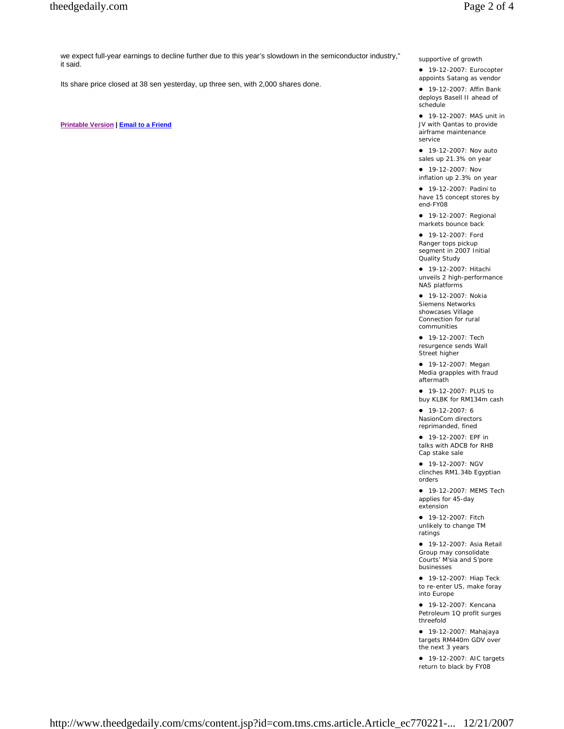we expect full-year earnings to decline further due to this year's slowdown in the semiconductor industry," it said.

Its share price closed at 38 sen yesterday, up three sen, with 2,000 shares done.

**Printable Version | Email to a Friend**

supportive of growth

• 19-12-2007: Eurocopter appoints Satang as vendor

**•** 19-12-2007: Affin Bank deploys Basell II ahead of schedule

• 19-12-2007: MAS unit in JV with Qantas to provide airframe maintenance service

• 19-12-2007: Nov auto sales up 21.3% on year

• 19-12-2007: Nov inflation up 2.3% on year

• 19-12-2007: Padini to have 15 concept stores by end-FY08

• 19-12-2007: Regional markets bounce back

• 19-12-2007: Ford Ranger tops pickup segment in 2007 Initial Quality Study

z 19-12-2007: Hitachi unveils 2 high-performance NAS platforms

• 19-12-2007: Nokia Siemens Networks showcases Village Connection for rural communities

• 19-12-2007: Tech resurgence sends Wall Street higher

• 19-12-2007: Megan Media grapples with fraud aftermath

• 19-12-2007: PLUS to buy KLBK for RM134m cash

 $• 19-12-2007: 6$ NasionCom directors reprimanded, fined

z 19-12-2007: EPF in talks with ADCB for RHB Cap stake sale

• 19-12-2007: NGV clinches RM1.34b Egyptian orders

• 19-12-2007: MEMS Tech applies for 45-day extension

• 19-12-2007: Fitch unlikely to change TM ratings

**•** 19-12-2007: Asia Retail Group may consolidate Courts' M'sia and S'pore businesses

• 19-12-2007: Hiap Teck to re-enter US, make foray into Europe

• 19-12-2007: Kencana Petroleum 1Q profit surges threefold

z 19-12-2007: Mahajaya targets RM440m GDV over the next 3 years

• 19-12-2007: AIC targets return to black by FY08